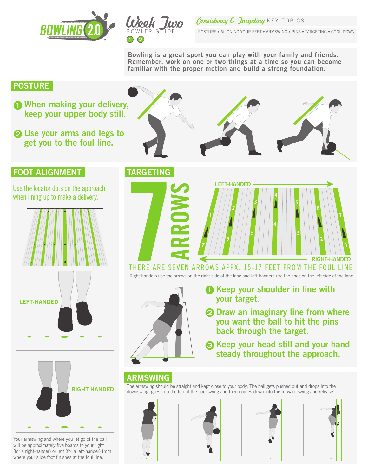



#### Consistency & Jargeting KEY TOPICS

POSTURE • ALIGNING YOUR FEET • ARMSWING • PINS • TARGETING • COOL DOWN

Bowling is a great sport you can play with your family and friends. Remember, work on one or two things at a time so you can become familiar with the proper motion and build a strong foundation.

### **POSTURE**

- **When making your delivery,** keep your upper body still.
- 2 Use your arms and legs to get you to the foul line.

### **FOOT ALIGNMENT TARGETING**

Use the locator dots on the approach when lining up to make a delivery.



Your armswing and where you let go of the ball will be approximately five boards to your right (for a right-hander) or left (for a left-hander) from where your slide foot finishes at the foul line.





## THERE ARE SEVEN ARROWS APPX. 15-17 FEET FROM THE FOUL LINE

Right-handers use the arrows on the right side of the lane and left-handers use the ones on the left side of the lane.



- **1** Keep your shoulder in line with your target.
- 2 Draw an imaginary line from where you want the ball to hit the pins back through the target.
- **6** Keep your head still and your hand steady throughout the approach.

# ARMSWING

The armswing should be straight and kept close to your body. The ball gets pushed out and drops into the downswing, goes into the top of the backswing and then comes down into the forward swing and release.